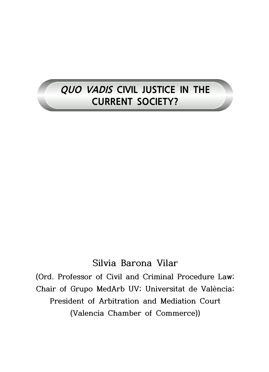# **QUO VADIS CIVIL JUSTICE IN THE CURRENT SOCIETY?**

## **Silvia Barona Vilar**

**(Ord. Professor of Civil and Criminal Procedure Law; Chair of Grupo MedArb UV; Universitat de València; President of Arbitration and Mediation Court (Valencia Chamber of Commerce))**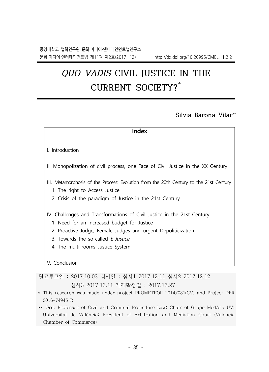# **QUO VADIS CIVIL JUSTICE IN THE CURRENT SOCIETY? \***

### **Silvia Barona Vilar \*\***

| <b>Index</b>                                                                                                             |  |
|--------------------------------------------------------------------------------------------------------------------------|--|
|                                                                                                                          |  |
| I. Introduction                                                                                                          |  |
| II. Monopolization of civil process, one Face of Civil Justice in the XX Century                                         |  |
| III. Metamorphosis of the Process: Evolution from the 20th Century to the 21st Century<br>1. The right to Access Justice |  |
| 2. Crisis of the paradigm of Justice in the 21st Century                                                                 |  |
| IV. Challenges and Transformations of Civil Justice in the 21st Century                                                  |  |
| 1. Need for an increased budget for Justice                                                                              |  |
| 2. Proactive Judge, Female Judges and urgent Depoliticization                                                            |  |
| 3. Towards the so-called <i>F-Justice</i>                                                                                |  |
| 4. The multi-rooms Justice System                                                                                        |  |
|                                                                                                                          |  |
| V. Conclusion                                                                                                            |  |
| 원고투고일 : 2017.10.03 심사일 : 심사1 2017.12.11 심사2 2017.12.12                                                                   |  |

심사3 2017.12.11 게재확정일 : 2017.12.27

- \* This research was made under project PROMETEOII 2014/081(GV) and Project DER 2016-74945 R
- \*\* Ord. Professor of Civil and Criminal Procedure Law; Chair of Grupo MedArb UV; Universitat de València; President of Arbitration and Mediation Court (Valencia Chamber of Commerce)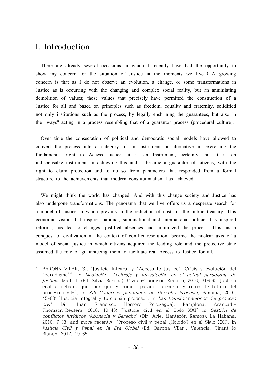### **I. Introduction**

There are already several occasions in which I recently have had the opportunity to show my concern for the situation of Justice in the moments we live. 1) A growing concern is that as I do not observe an evolution, a change, or some transformations in Justice as is occurring with the changing and complex social reality, but an annihilating demolition of values; those values that precisely have permitted the construction of a Justice for all and based on principles such as freedom, equality and fraternity, solidified not only institutions such as the process, by legally enshrining the guarantees, but also in the "ways" acting in a process resembling that of a guarantor process (procedural culture).

Over time the consecration of political and democratic social models have allowed to convert the process into a category of an instrument or alternative in exercising the fundamental right to Access Justice; it is an Instrument, certainly, but it is an indispensable instrument in achieving this and it became a guarantor of citizens, with the right to claim protection and to do so from parameters that responded from a formal structure to the achievements that modern constitutionalism has achieved.

We might think the world has changed. And with this change society and Justice has also undergone transformations. The panorama that we live offers us a desperate search for a model of Justice in which prevails in the reduction of costs of the public treasury. This economic vision that inspires national, supranational and international policies has inspired reforms, has led to changes, justified absences and minimized the process. This, as a conquest of civilization in the context of conflict resolution, became the nuclear axis of a model of social justice in which citizens acquired the leading role and the protective state assumed the role of guaranteeing them to facilitate real Access to Justice for all.

<sup>1)</sup> BARONA VILAR, S., "Justicia Integral y "Access to Justice". Crisis y evolución del "paradigma"", in Mediación, Arbitraje <sup>y</sup> Jurisdicción en el actual paradigma de Justicia, Madrid, (Ed. Silvia Barona), Civitas-Thomson Reuters, 2016, 31-56; "Justicia civil a debate: qué, por qué y cómo –pasado, presente y retos de futuro del proceso civil-", in XIII Congreso panameño de Derecho Procesal, Panamá, 2016, 45-68; "Justicia integral y tutela sin proceso", in Las transformaciones del proceso civil (Dir. Juan Francisco Herrero Perezagua), Pamplona, Aranzadi-Thomson-Reuters, 2016, 19-43; "Justicia civil en el Siglo XXI" in Gestión de conflictos jurídicos (Abogacía <sup>y</sup> Derecho) (Dir. Ariel Mantecón Ramos), La Habana, 2016, 7-33; and more recently, "Proceso civil y penal ¿líquido? en el Siglo XXI", in Justicia Civil <sup>y</sup> Penal en la Era Global (Ed. Barona Vilar), Valencia, Tirant lo Blanch, 2017, 19-65.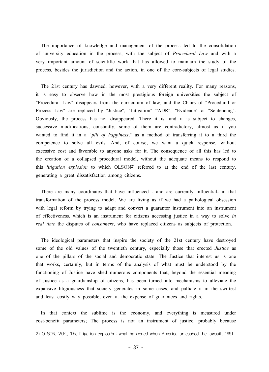The importance of knowledge and management of the process led to the consolidation of university education in the process, with the subject of *Procedural Law* and with a very important amount of scientific work that has allowed to maintain the study of the process, besides the jurisdiction and the action, in one of the core-subjects of legal studies.

The 21st century has dawned, however, with a very different reality. For many reasons, it is easy to observe how in the most prestigious foreign universities the subject of "Procedural Law" disappears from the curriculum of law, and the Chairs of "Procedural or Process Law" are replaced by "Justice", "Litigation" "ADR", "Evidence" or "Sentencing". Obviously, the process has not disappeared. There it is, and it is subject to changes, successive modifications, constantly, some of them are contradictory, almost as if you wanted to find it in a "*pill of happiness*," as a method of transferring it to a third the competence to solve all evils. And, of course, we want a quick response, without excessive cost and favorable to anyone asks for it. The consequence of all this has led to the creation of a collapsed procedural model, without the adequate means to respond to this *litigation explosion* to which OLSON2) referred to at the end of the last century, generating a great dissatisfaction among citizens.

There are many coordinates that have influenced - and are currently influential- in that transformation of the process model. We are living as if we had a pathological obsession with legal reform by trying to adapt and convert a guarantor instrument into an instrument of effectiveness, which is an instrument for citizens accessing justice in a way to solve *in real time* the disputes of *consumers*, who have replaced citizens as subjects of protection.

The ideological parameters that inspire the society of the 21st century have destroyed some of the old values of the twentieth century, especially those that erected *Justice* as one of the pillars of the social and democratic state. The Justice that interest us is one that works, certainly, but in terms of the analysis of what must be understood by the functioning of Justice have shed numerous components that, beyond the essential meaning of Justice as a guardianship of citizens, has been turned into mechanisms to alleviate the expansive litigiousness that society generates in some cases, and palliate it in the swiftest and least costly way possible, even at the expense of guarantees and rights.

In that context the sublime is the economy, and everything is measured under cost-benefit parameters; The process is not an instrument of justice, probably because

<sup>2)</sup> OLSON, W.K., The litigation explosión: what happened when America unleashed the lawsuit, 1991.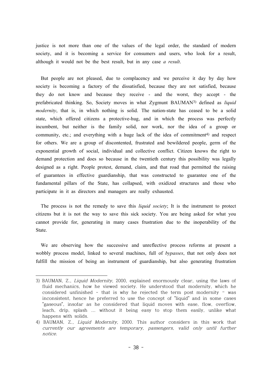justice is not more than one of the values of the legal order, the standard of modern society, and it is becoming a service for consumers and users, who look for a result, although it would not be the best result, but in any case *a result*.

But people are not pleased, due to complacency and we perceive it day by day how society is becoming a factory of the dissatisfied, because they are not satisfied, because they do not know and because they receive - and the worst, they accept - the prefabricated thinking. So, Society moves in what Zygmunt BAUMAN3) defined as *liquid modernity*, that is, in which nothing is solid. The nation-state has ceased to be a solid state, which offered citizens a protective-hug, and in which the process was perfectly incumbent, but neither is the family solid, nor work, nor the idea of a group or community, etc.; and everything with a huge lack of the idea of commitment 4) and respect for others. We are a group of discontented, frustrated and bewildered people, germ of the exponential growth of social, individual and collective conflict. Citizen knows the right to demand protection and does so because in the twentieth century this possibility was legally designed as a right. People protest, demand, claim, and that road that permitted the raising of guarantees in effective guardianship, that was constructed to guarantee one of the fundamental pillars of the State, has collapsed, with oxidized structures and those who participate in it as directors and managers are really exhausted.

The process is not the remedy to save this *liquid society*; It is the instrument to protect citizens but it is not the way to save this sick society. You are being asked for what you cannot provide for, generating in many cases frustration due to the inoperability of the State.

We are observing how the successive and unreflective process reforms at present a wobbly process model, linked to several machines, full of *bypasses*, that not only does not fulfill the mission of being an instrument of guardianship, but also generating frustration

<sup>3)</sup> BAUMAN, Z., Liquid Modernity, 2000, explained enormously clear, using the laws of fluid mechanics, how he viewed society. He understood that modernity, which he considered unfinished - that is why he rejected the term post modernity – was inconsistent, hence he preferred to use the concept of "liquid" and in some cases "gaseous", insofar as he considered that liquid moves with ease, flow, overflow, leach, drip, splash ... without it being easy to stop them easily, unlike what happens with solids.

<sup>4)</sup> BAUMAN, Z., *Liquid Modernity*, 2000. This author considers in this work that currently our agreements are temporary, passengers, valid only until further notice.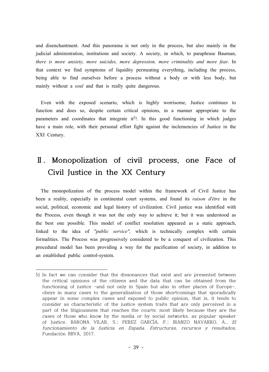and disenchantment. And this panorama is not only in the process, but also mainly in the judicial administration, institutions and society. A society, in which, to paraphrase Bauman, *there is more anxiety, more suicides, more depression, more criminality and more fear*. In that context we find symptoms of liquidity permeating everything, including the process, being able to find ourselves before a process without a body or with less body, but mainly without a *soul* and that is really quite dangerous.

Even with the exposed scenario, which is highly worrisome, Justice continues to function and does so, despite certain critical opinions, in a manner appropriate to the parameters and coordinates that integrate it<sup>5</sup>). In this good functioning in which judges have a main role, with their personal effort fight against the inclemencies of Justice in the XXI Century.

# **Ⅱ. Monopolization of civil process, one Face of Civil Justice in the XX Century**

The monopolization of the process model within the framework of Civil Justice has been a reality, especially in continental court systems, and found its *raison d'être* in the social, political, economic and legal history of civilization. Civil justice was identified with the Process, even though it was not the only way to achieve it; but it was understood as the best one possible. This model of conflict resolution appeared as a static approach, linked to the idea of *"public service",* which is technically complex with certain formalities. The Process was progressively considered to be a conquest of civilization. This procedural model has been providing a way for the pacification of society, in addition to an established public control-system.

<sup>5)</sup> In fact we can consider that the dissonances that exist and are presented between the critical opinions of the citizens and the data that can be obtained from the functioning of justice -and not only in Spain but also in other places of Europe-, obeys in many cases to the generalization of those shortcomings that sporadically appear in some complex cases and exposed to public opinion, that is, it tends to consider as characteristic of the justice system traits that are only perceived in a part of the litigiousness that reaches the courts; most likely because they are the cases of those who know by the media or by social networks, as popular speaker of Justice. BARONA VILAR, S.; PEREZ GARCÍA, F.; IRANZO NAVARRO, A., El funcionamiento de la Justicia en España. Estructuras, recursos <sup>y</sup> resultados, Fundación BBVA, 2017.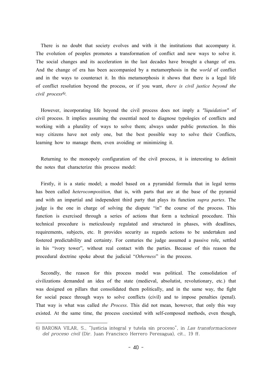There is no doubt that society evolves and with it the institutions that accompany it. The evolution of peoples promotes a transformation of conflict and new ways to solve it. The social changes and its acceleration in the last decades have brought a change of era. And the change of era has been accompanied by a metamorphosis in the *world* of conflict and in the ways to counteract it. In this metamorphosis it shows that there is a legal life of conflict resolution beyond the process, or if you want, *there is civil justice beyond the civil process 6) .*

However, incorporating life beyond the civil process does not imply a *"liquidation"* of civil process. It implies assuming the essential need to diagnose typologies of conflicts and working with a plurality of ways to solve them; always under public protection. In this way citizens have not only one, but the best possible way to solve their Conflicts, learning how to manage them, even avoiding or minimizing it.

Returning to the monopoly configuration of the civil process, it is interesting to delimit the notes that characterize this process model:

Firstly, it is a static model; a model based on a pyramidal formula that in legal terms has been called *heterocomposition,* that is, with parts that are at the base of the pyramid and with an impartial and independent third party that plays its function *supra partes*. The judge is the one in charge of solving the dispute "in" the course of the process. This function is exercised through a series of actions that form a technical procedure. This technical procedure is meticulously regulated and structured in phases, with deadlines, requirements, subjects, etc. It provides security as regards actions to be undertaken and fostered predictability and certainty. For centuries the judge assumed a passive role, settled in his "ivory tower", without real contact with the parties. Because of this reason the procedural doctrine spoke about the judicial "*Otherness*" in the process.

Secondly, the reason for this process model was political. The consolidation of civilizations demanded an idea of the state (medieval, absolutist, revolutionary, etc.) that was designed on pillars that consolidated them politically, and in the same way, the fight for social peace through ways to solve conflicts (civil) and to impose penalties (penal). That way is what was called *the Process*. This did not mean, however, that only this way existed. At the same time, the process coexisted with self-composed methods, even though,

<sup>6)</sup> BARONA VILAR, S., "Justicia integral y tutela sin proceso", in Las transformaciones del proceso civil (Dir. Juan Francisco Herrero Perezagua), cit., 19 ff.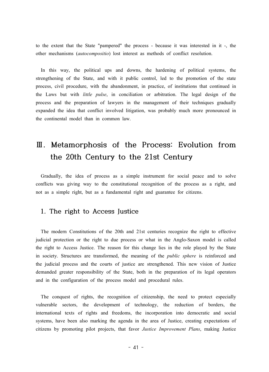to the extent that the State "pampered" the process - because it was interested in it -, the other mechanisms (*autocompositio*) lost interest as methods of conflict resolution.

In this way, the political ups and downs, the hardening of political systems, the strengthening of the State, and with it public control, led to the promotion of the state process, civil procedure, with the abandonment, in practice, of institutions that continued in the Laws but with *little pulse*, in conciliation or arbitration. The legal design of the process and the preparation of lawyers in the management of their techniques gradually expanded the idea that conflict involved litigation, was probably much more pronounced in the continental model than in common law.

# **Ⅲ. Metamorphosis of the Process: Evolution from the 20th Century to the 21st Century**

Gradually, the idea of process as a simple instrument for social peace and to solve conflicts was giving way to the constitutional recognition of the process as a right, and not as a simple right, but as a fundamental right and guarantee for citizens.

### **1. The right to Access Justice**

The modern Constitutions of the 20th and 21st centuries recognize the right to effective judicial protection or the right to due process or what in the Anglo-Saxon model is called the right to Access Justice. The reason for this change lies in the role played by the State in society. Structures are transformed, the meaning of the *public sphere* is reinforced and the judicial process and the courts of justice are strengthened. This new vision of Justice demanded greater responsibility of the State, both in the preparation of its legal operators and in the configuration of the process model and procedural rules.

The conquest of rights, the recognition of citizenship, the need to protect especially vulnerable sectors, the development of technology, the reduction of borders, the international texts of rights and freedoms, the incorporation into democratic and social systems, have been also marking the agenda in the area of Justice, creating expectations of citizens by promoting pilot projects, that favor *Justice Improvement Plans*, making Justice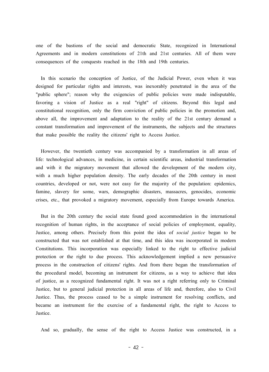one of the bastions of the social and democratic State, recognized in International Agreements and in modern constitutions of 21th and 21st centuries. All of them were consequences of the conquests reached in the 18th and 19th centuries.

In this scenario the conception of Justice, of the Judicial Power, even when it was designed for particular rights and interests, was inexorably penetrated in the area of the "public sphere"; reason why the exigencies of public policies were made indisputable, favoring a vision of Justice as a real "right" of citizens. Beyond this legal and constitutional recognition, only the firm conviction of public policies in the promotion and, above all, the improvement and adaptation to the reality of the 21st century demand a constant transformation and improvement of the instruments, the subjects and the structures that make possible the reality the citizens' right to Access Justice.

However, the twentieth century was accompanied by a transformation in all areas of life: technological advances, in medicine, in certain scientific areas, industrial transformation and with it the migratory movement that allowed the development of the modern city, with a much higher population density. The early decades of the 20th century in most countries, developed or not, were not easy for the majority of the population: epidemics, famine, slavery for some, wars, demographic disasters, massacres, genocides, economic crises, etc., that provoked a migratory movement, especially from Europe towards America.

But in the 20th century the social state found good accommodation in the international recognition of human rights, in the acceptance of social policies of employment, equality, Justice, among others. Precisely from this point the idea of *social justice* began to be constructed that was not established at that time, and this idea was incorporated in modern Constitutions. This incorporation was especially linked to the right to effective judicial protection or the right to due process. This acknowledgement implied a new persuasive process in the construction of citizens' rights. And from there began the transformation of the procedural model, becoming an instrument for citizens, as a way to achieve that idea of justice, as a recognized fundamental right. It was not a right referring only to Criminal Justice, but to general judicial protection in all areas of life and, therefore, also to Civil Justice. Thus, the process ceased to be a simple instrument for resolving conflicts, and became an instrument for the exercise of a fundamental right, the right to Access to Justice.

And so, gradually, the sense of the right to Access Justice was constructed, in a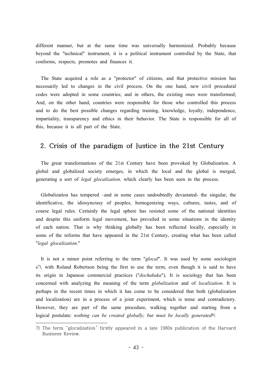different manner, but at the same time was universally harmonized. Probably because beyond the "technical" instrument, it is a political instrument controlled by the State, that conforms, respects, promotes and finances it.

The State acquired a role as a "protector" of citizens, and that protective mission has necessarily led to changes in the civil process. On the one hand, new civil procedural codes were adopted in some countries; and in others, the existing ones were transformed; And, on the other hand, countries were responsible for those who controlled this process and to do the best possible changes regarding training, knowledge, loyalty, independence, impartiality, transparency and ethics in their behavior. The State is responsible for all of this, because it is all part of the State.

#### **2. Crisis of the paradigm of Justice in the 21st Century**

The great transformations of the 21st Century have been provoked by Globalization. A global and globalized society emerges, in which the local and the global is merged, generating a sort of *legal glocalization,* which clearly has been seen in the process.

Globalization has tempered –and in some cases undoubtedly devastated- the singular, the identificative, the idiosyncrasy of peoples, homogenizing ways, cultures, tastes, and of course legal rules. Certainly the legal sphere has resisted some of the national identities and despite this uniform legal movement, has prevailed in some situations in the identity of each nation. That is why thinking globally has been reflected locally, especially in some of the reforms that have appeared in the 21st Century, creating what has been called "*legal glocalization*."

It is not a minor point referring to the term "*glocal*". It was used by some sociologist s<sup>7)</sup>, with Roland Robertson being the first to use the term, even though it is said to have its origin in Japanese commercial practices ("*dochakuka*"). It is sociology that has been concerned with analyzing the meaning of the term *globalization* and of *localization*. It is perhaps in the recent times in which it has come to be considered that both (globalization and localization) are in a process of a joint experiment, which is tense and contradictory. However, they are part of the same procedure, walking together and starting from a logical postulate: *nothing can be created globally, but must be locally generated8) .*

<sup>7)</sup> The term "glocalization" firstly appeared in a late 1980s publication of the Harvard Business Review.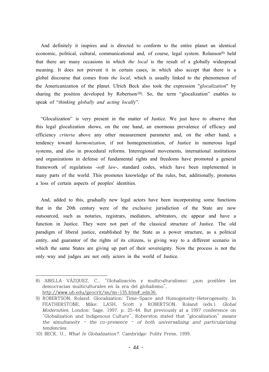And definitely it inspires and is directed to conform to the entire planet an identical economic, political, cultural, communicational and, of course, legal system. Rolanson<sup>9)</sup> held that there are many occasions in which *the local* is the result of a globally widespread meaning. It does not prevent it in certain cases, in which also accept that there is a global discourse that comes from *the local*, which is usually linked to the phenomenon of the Americanization of the planet. Ulrich Beck also took the expression "*glocalization*" by sharing the position developed by Robertson<sup>10</sup>. So, the term "glocalization" enables to speak of "*thinking globally and acting locally*".

"Glocalization" is very present in the matter of Justice. We just have to observe that this legal glocalization shows, on the one hand, an enormous prevalence of efficacy and efficiency *criteria* above any other measurement parameter and, on the other hand, a tendency toward *harmonization*, if not homegenenization, of Justice in numerous legal systems, and also in procedural reforms. Interregional movements, international institutions and organizations in defense of fundamental rights and freedoms have promoted a general framework of regulations -*soft law*-, standard codes, which have been implemented in many parts of the world. This promotes knowledge of the rules, but, additionally, promotes a loss of certain aspects of peoples' identities.

And, added to this, gradually new legal actors have been incorporating some functions that in the 20th century were of the exclusive jurisdiction of the State are now outsourced, such as notaries, registrars, mediators, arbitrators, etc appear and have a function in Justice. They were not part of the classical structure of Justice. The old paradigm of liberal justice, established by the State as a power structure, as a political entity, and guarantor of the rights of its citizens, is giving way to a different scenario in which the same States are giving up part of their sovereignty. Now the process is not the only way and judges are not only actors in the world of Justice.

<sup>8)</sup> ABELLA VÁZQUEZ, C., "Globalización y multiculturalismo: ¿son posibles las democracias multiculturales en la era del globalismo", http://www.ub.edu/geocrit/sn/sn-135.htm#\_edn36.

<sup>9)</sup> ROBERTSON, Roland. Glocalization: Time-Space and Homogeneity-Heterogeneity. In FEATHERSTONE, Mike; LASH, Scott y ROBERTSON, Roland (eds.). Global Modernities, London: Sage, 1997, p. 25-44. But previously at a 1997 conference on "Globalization and Indigenous Culture", Roberston stated that "glocalization" means the simultaneity  $-$  the co-presence  $-$  of both universalizing and particularizing tendencies.

<sup>10)</sup> BECK, U., What Is Globalization?. Cambridge: Polity Press, 1999.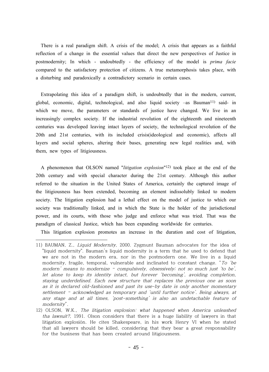There is a real paradigm shift. A crisis of the model; A crisis that appears as a faithful reflection of a change in the essential values that direct the new perspectives of Justice in postmodernity; In which - undoubtedly - the efficiency of the model is *prima facie* compared to the satisfactory protection of citizens. A true metamorphosis takes place, with a disturbing and paradoxically a contradictory scenario in certain cases.

Extrapolating this idea of a paradigm shift, is undoubtedly that in the modern, current, global, economic, digital, technological, and also liquid society  $-\text{as}$  Bauman<sup>11</sup>) said- in which we move, the parameters or standards of justice have changed. We live in an increasingly complex society. If the industrial revolution of the eighteenth and nineteenth centuries was developed leaving intact layers of society, the technological revolution of the 20th and 21st centuries, with its included crisis(ideological and economic), affects all layers and social spheres, altering their bases, generating new legal realities and, with them, new types of litigiousness.

A phenomenon that OLSON named "*litigation explosion*" 12) took place at the end of the 20th century and with special character during the 21st century. Although this author referred to the situation in the United States of America, certainly the captured image of the litigiousness has been extended, becoming an element indissolubly linked to modern society. The litigation explosion had a lethal effect on the model of justice to which our society was traditionally linked, and in which the State is the holder of the jurisdictional power, and its courts, with those who judge and enforce what was tried. That was the paradigm of classical Justice, which has been expanding worldwide for centuries.

This litigation explosion promotes an increase in the duration and cost of litigation,

<sup>11)</sup> BAUMAN, Z., Liquid Modernity, 2000. Zygmunt Bauman advocates for the idea of "liquid modernity". Bauman's liquid modernity is a term that he used to defend that we are not in the modern era, nor in the postmodern one. We live in a liquid modernity, fragile, temporal, vulnerable and inclinated to constant change. "To 'be modern' means to modernize – compulsively, obsessively; not so much just 'to be', let alone to keep its identity intact, but forever 'becoming', avoiding completion, staying underdefined. Each new structure that replaces the previous one as soon as it is declared old-fashioned and past its use-by date is only another momentary settlement – acknowledged as temporary and 'until further notice'. Being always, at any stage and at all times, 'post-something' is also an undetachable feature of modernity".

<sup>12)</sup> OLSON, W.K., The litigation explosion: what happened when America unleashed tha lawsuit?, 1991. Olson considers that there is a huge liability of lawyers in that litigation explosión. He cites Shakespeare, in his work Henry VI when he stated that all lawyers should be killed, considering that they bear a great responsability for the business that has been created around litigiousness.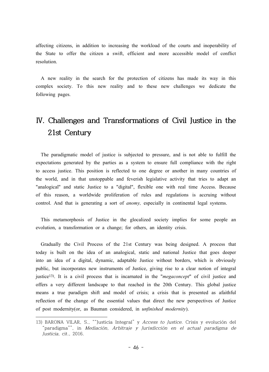affecting citizens, in addition to increasing the workload of the courts and inoperability of the State to offer the citizen a swift, efficient and more accessible model of conflict resolution.

A new reality in the search for the protection of citizens has made its way in this complex society. To this new reality and to these new challenges we dedicate the following pages.

# **Ⅳ. Challenges and Transformations of Civil Justice in the 21st Century**

The paradigmatic model of justice is subjected to pressure, and is not able to fulfill the expectations generated by the parties as a system to ensure full compliance with the right to access justice. This position is reflected to one degree or another in many countries of the world, and in that unstoppable and feverish legislative activity that tries to adapt an "analogical" and static Justice to a "digital", flexible one with real time Access. Because of this reason, a worldwide proliferation of rules and regulations is accruing without control. And that is generating a sort of *anomy,* especially in continental legal systems.

This metamorphosis of Justice in the glocalized society implies for some people an evolution, a transformation or a change; for others, an identity crisis.

Gradually the Civil Process of the 21st Century was being designed. A process that today is built on the idea of an analogical, static and national Justice that goes deeper into an idea of a digital, dynamic, adaptable Justice without borders, which is obviously public, but incorporates new instruments of Justice, giving rise to a clear notion of integral justice13) . It is a civil process that is incarnated in the "*megaconcept*" of civil justice and offers a very different landscape to that reached in the 20th Century. This global justice means a true paradigm shift and model of crisis; a crisis that is presented as afaithful reflection of the change of the essential values that direct the new perspectives of Justice of post modernity(or, as Bauman considered, in *unfinished modernity*).

<sup>13)</sup> BARONA VILAR, S., ""Justicia Integral" y Access to Justice. Crisis y evolución del "paradigma"", in Mediación, Arbitraje <sup>y</sup> Jurisdicción en el actual paradigma de Justicia, cit., 2016.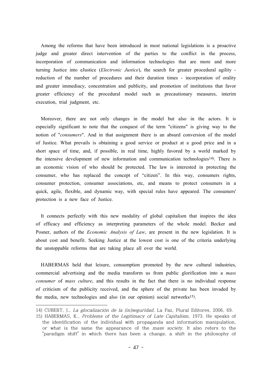Among the reforms that have been introduced in most national legislations is a proactive judge and greater direct intervention of the parties to the conflict in the process, incorporation of communication and information technologies that are more and more turning Justice into eJustice (*Electronic Justice*), the search for greater procedural agility reduction of the number of procedures and their duration times - incorporation of orality and greater immediacy, concentration and publicity, and promotion of institutions that favor greater efficiency of the procedural model such as precautionary measures, interim execution, trial judgment, etc.

Moreover, there are not only changes in the model but also in the actors. It is especially significant to note that the conquest of the term "citizens" is giving way to the notion of "*consumers*". And in that assignment there is an absurd conversion of the model of Justice. What prevails is obtaining a good service or product at a good price and in a short space of time, and, if possible, in real time, highly favored by a world marked by the intensive development of new information and communication technologies<sup>14</sup>). There is an economic vision of who should be protected. The law is interested in protecting the consumer, who has replaced the concept of "citizen". In this way, consumers rights, consumer protection, consumer associations, etc, and means to protect consumers in a quick, agile, flexible, and dynamic way, with special rules have appeared. The consumers' protection is a new face of Justice.

It connects perfectly with this new modality of global capitalism that inspires the idea of efficacy and efficiency as interpreting parameters of the whole model. Becker and Posner, authors of the *Economic Analysis of Law*, are present in the new legislation. It is about cost and benefit. Seeking Justice at the lowest cost is one of the criteria underlying the unstoppable reforms that are taking place all over the world.

HABERMAS held that leisure, consumption promoted by the new cultural industries, commercial advertising and the media transform us from public glorification into a *mass consumer* of *mass culture*, and this results in the fact that there is no individual response of criticism of the publicity received, and the sphere of the private has been invaded by the media, new technologies and also (in our opinion) social networks<sup>15</sup>).

<sup>14)</sup> CUBERT, J., La glocalización de la (in)seguridad, La Paz, Plural Editores, 2006, 69.

<sup>15)</sup> HABERMAS, K., Problems of the Legitimacy of Late Capitalism, 1973. He speaks of the identification of the individual with propaganda and information manipulation, or what is the same the appearance of the mass society. It also refers to the "paradigm shift" in which there has been a change, a shift in the philosophy of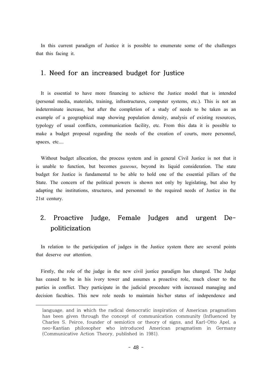In this current paradigm of Justice it is possible to enumerate some of the challenges that this facing it.

#### **1. Need for an increased budget for Justice**

It is essential to have more financing to achieve the Justice model that is intended (personal media, materials, training, infrastructures, computer systems, etc.). This is not an indeterminate increase, but after the completion of a study of needs to be taken as an example of a geographical map showing population density, analysis of existing resources, typology of usual conflicts, communication facility, etc. From this data it is possible to make a budget proposal regarding the needs of the creation of courts, more personnel, spaces, etc....

Without budget allocation, the process system and in general Civil Justice is not that it is unable to function, but becomes *gaseous*, beyond its liquid consideration. The state budget for Justice is fundamental to be able to hold one of the essential pillars of the State. The concern of the political powers is shown not only by legislating, but also by adapting the institutions, structures, and personnel to the required needs of Justice in the 21st century.

### **2. Proactive Judge, Female Judges and urgent Depoliticization**

In relation to the participation of judges in the Justice system there are several points that deserve our attention.

Firstly, the role of the judge in the new civil justice paradigm has changed. The Judge has ceased to be in his ivory tower and assumes a proactive role, much closer to the parties in conflict. They participate in the judicial procedure with increased managing and decision faculties. This new role needs to maintain his/her status of independence and

language, and in which the radical democratic inspiration of American pragmatism has been given through the concept of communication community (Influenced by Charles S. Peirce, founder of semiotics or theory of signs, and Karl-Otto Apel, a neo-Kantian philosopher who introduced American pragmatism in Germany (Communicative Action Theory, published in 1981).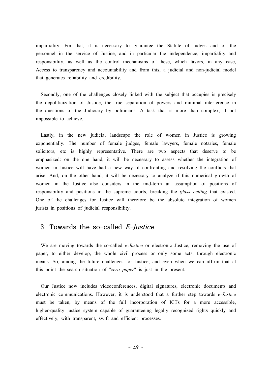impartiality. For that, it is necessary to guarantee the Statute of judges and of the personnel in the service of Justice, and in particular the independence, impartiality and responsibility, as well as the control mechanisms of these, which favors, in any case, Access to transparency and accountability and from this, a judicial and non-judicial model that generates reliability and credibility.

Secondly, one of the challenges closely linked with the subject that occupies is precisely the depoliticization of Justice, the true separation of powers and minimal interference in the questions of the Judiciary by politicians. A task that is more than complex, if not impossible to achieve.

Lastly, in the new judicial landscape the role of women in Justice is growing exponentially. The number of female judges, female lawyers, female notaries, female solicitors, etc is highly representative. There are two aspects that deserve to be emphasized: on the one hand, it will be necessary to assess whether the integration of women in Justice will have had a new way of confronting and resolving the conflicts that arise. And, on the other hand, it will be necessary to analyze if this numerical growth of women in the Justice also considers in the mid-term an assumption of positions of responsibility and positions in the supreme courts, breaking the *glass ceiling* that existed. One of the challenges for Justice will therefore be the absolute integration of women jurists in positions of judicial responsibility.

#### **3. Towards the so-called E-Justice**

We are moving towards the so-called *e-Justice* or electronic Justice, removing the use of paper, to either develop, the whole civil process or only some acts, through electronic means. So, among the future challenges for Justice, and even when we can affirm that at this point the search situation of "*zero paper*" is just in the present.

Our Justice now includes videoconferences, digital signatures, electronic documents and electronic communications. However, it is understood that a further step towards *e-Justice* must be taken, by means of the full incorporation of ICTs for a more accessible, higher-quality justice system capable of guaranteeing legally recognized rights quickly and effectively, with transparent, swift and efficient processes.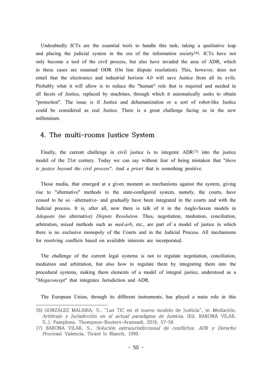Undoubtedly ICTs are the essential tools to handle this task, taking a qualitative leap and placing the judicial system in the era of the information society<sup>16</sup>). ICTs have not only become a tool of the civil process, but also have invaded the area of ADR, which in these cases are renamed ODR (On line dispute resolution). This, however, does not entail that the electronics and industrial horizon 4.0 will save Justice from all its evils. Probably what it will allow is to reduce the "human" role that is required and needed in all facets of Justice, replaced by machines, through which it automatically seeks to obtain "protection". The issue is if Justice and dehumanization or a sort of robot-like Justice could be considered as real Justice. There is a great challenge facing us in the new millennium.

### **4. The multi-rooms Justice System**

Finally, the current challenge in civil justice is to integrate  $ADR^{17}$  into the justice model of the 21st century. Today we can say without fear of being mistaken that "*there is justice beyond the civil process*". And a *priori* that is something positive.

Those media, that emerged at a given moment as mechanisms against the system, giving rise to "alternative" methods to the state-configured system, namely, the courts, have ceased to be so –alternative- and gradually have been integrated in the courts and with the Judicial process. It is, after all, now there is talk of it in the Anglo-Saxon models in *Adequate* (no alternative) *Dispute Resolution*. Thus, negotiation, mediation, conciliation, arbitration, mixed methods such as *med-arb*, etc., are part of a model of justice in which there is no exclusive monopoly of the Courts and in the Judicial Process. All mechanisms for resolving conflicts based on available interests are incorporated.

The challenge of the current legal systems is not to regulate negotiation, conciliation, mediation and arbitration, but also how to regulate them by integrating them into the procedural systems, making them elements of a model of integral justice, understood as a "*Megaconcept*" that integrates Jurisdiction and ADR.

The European Union, through its different instruments, has played a main role in this

<sup>16)</sup> GONZÁLEZ MALABIA, S., "Las TIC en el nuevo modelo de Justicia", in Mediación, Arbitraje <sup>y</sup> Jurisdicción en el actual paradigma de Justicia, (Ed. BARONA VILAR, S.,), Pamplona, Thompson-Reuters-Aranzadi, 2016, 57-58.

<sup>17)</sup> BARONA VILAR, S., Solución extrajurisdiccional de conflictos. ADR <sup>y</sup> Derecho Procesal, Valencia, Tirant lo Blanch, 1999.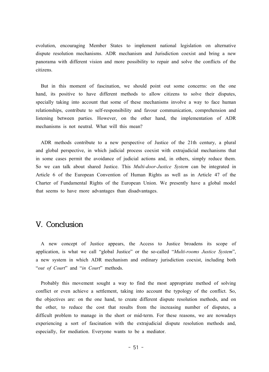evolution, encouraging Member States to implement national legislation on alternative dispute resolution mechanisms. ADR mechanism and Jurisdiction coexist and bring a new panorama with different vision and more possibility to repair and solve the conflicts of the citizens.

But in this moment of fascination, we should point out some concerns: on the one hand, its positive to have different methods to allow citizens to solve their disputes, specially taking into account that some of these mechanisms involve a way to face human relationships, contribute to self-responsibility and favour communication, comprehension and listening between parties. However, on the other hand, the implementation of ADR mechanisms is not neutral. What will this mean?

ADR methods contribute to a new perspective of Justice of the 21th century, a plural and global perspective, in which judicial process coexist with extrajudicial mechanisms that in some cases permit the avoidance of judicial actions and, in others, simply reduce them. So we can talk about shared Justice. This *Multi-door-Justice System* can be integrated in Article 6 of the European Convention of Human Rights as well as in Article 47 of the Charter of Fundamental Rights of the European Union. We presently have a global model that seems to have more advantages than disadvantages.

### **V. Conclusion**

A new concept of Justice appears, the Access to Justice broadens its scope of application, is what we call "global Justice" or the so-called "*Multi-rooms Justice System*", a new system in which ADR mechanism and ordinary jurisdiction coexist, including both "*out of Court*" and "*in Court*" methods.

Probably this movement sought a way to find the most appropriate method of solving conflict or even achieve a settlement, taking into account the typology of the conflict. So, the objectives are: on the one hand, to create different dispute resolution methods, and on the other, to reduce the cost that results from the increasing number of disputes, a difficult problem to manage in the short or mid-term. For these reasons, we are nowadays experiencing a sort of fascination with the extrajudicial dispute resolution methods and, especially, for mediation. Everyone wants to be a mediator.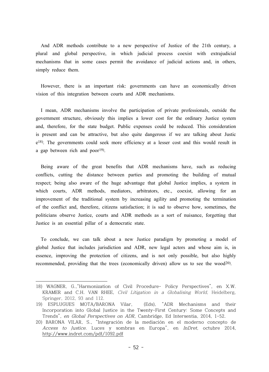And ADR methods contribute to a new perspective of Justice of the 21th century, a plural and global perspective, in which judicial process coexist with extrajudicial mechanisms that in some cases permit the avoidance of judicial actions and, in others, simply reduce them.

However, there is an important risk: governments can have an economically driven vision of this integration between courts and ADR mechanisms.

I mean, ADR mechanisms involve the participation of private professionals, outside the government structure, obviously this implies a lower cost for the ordinary Justice system and, therefore, for the state budget. Public expenses could be reduced. This consideration is present and can be attractive, but also quite dangerous if we are talking about Justic e<sup>18)</sup>. The governments could seek more efficiency at a lesser cost and this would result in a gap between rich and poor 19) .

Being aware of the great benefits that ADR mechanisms have, such as reducing conflicts, cutting the distance between parties and promoting the building of mutual respect; being also aware of the huge advantage that global Justice implies, a system in which courts, ADR methods, mediators, arbitrators, etc., coexist, allowing for an improvement of the traditional system by increasing agility and promoting the termination of the conflict and, therefore, citizens satisfaction; it is sad to observe how, sometimes, the politicians observe Justice, courts and ADR methods as a sort of nuisance, forgetting that Justice is an essential pillar of a democratic state.

To conclude, we can talk about a new Justice paradigm by promoting a model of global Justice that includes jurisdiction and ADR, new legal actors and whose aim is, in essence, improving the protection of citizens, and is not only possible, but also highly recommended, providing that the trees (economically driven) allow us to see the wood<sup>20)</sup>.

<sup>18)</sup> WAGNER, G.,"Harmonization of Civil Procedure- Policy Perspectives", en X.W. KRAMER and C.H. VAN RHEE, Civil Litigation in <sup>a</sup> Globalising World, Heidelberg, Springer, 2012, 93 and 112.

<sup>19)</sup> ESPLUGUES MOTA/BARONA Vilar, (Eds), "ADR Mechanisms and their Incorporation into Global Justice in the Twenty-First Century: Some Concepts and Trends", en Global Perspectives on ADR, Cambridge, Ed Intersentia, 2014, 1-52.

<sup>20)</sup> BARONA VILAR, S., "Integración de la mediación en el moderno concepto de Access to Justice. Luces y sombras en Europa", en InDret, octubre 2014, http://www.indret.com/pdf/1092.pdf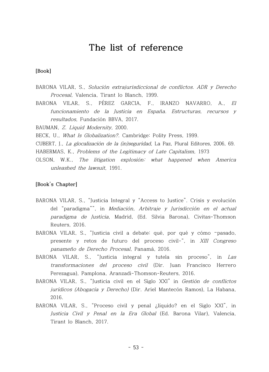## **The list of reference**

#### **[Book]**

- BARONA VILAR, S., Solución extrajurisdiccional de conflictos. ADR <sup>y</sup> Derecho Procesal, Valencia, Tirant lo Blanch, 1999.
- BARONA VILAR, S., PÉREZ GARCIA, F., IRANZO NAVARRO, A., El funcionamiento de la Justicia en España. Estructuras, recursos y resultados, Fundación BBVA, 2017.

BAUMAN, Z. Liquid Modernity, 2000.

BECK, U., What Is Globalization?. Cambridge: Polity Press, 1999.

CUBERT, J., La glocalización de la (in)seguridad, La Paz, Plural Editores, 2006, 69.

HABERMAS, K., Problems of the Legitimacy of Late Capitalism, 1973

OLSON, W.K., The litigation explosión: what happened when America unleashed the lawsuit, 1991.

#### **[Book's Chapter]**

- BARONA VILAR, S., "Justicia Integral y "Access to Justice". Crisis y evolución del "paradigma"", in Mediación, Arbitraje <sup>y</sup> Jurisdicción en el actual paradigma de Justicia, Madrid, (Ed. Silvia Barona), Civitas-Thomson Reuters, 2016.
- BARONA VILAR, S., "Justicia civil a debate: qué, por qué y cómo –pasado, presente y retos de futuro del proceso civil-", in XIII Congreso panameño de Derecho Procesal, Panamá, 2016.
- BARONA VILAR, S., "Justicia integral y tutela sin proceso", in Las transformaciones del proceso civil (Dir. Juan Francisco Herrero Perezagua), Pamplona, Aranzadi-Thomson-Reuters, 2016.
- BARONA VILAR, S., "Justicia civil en el Siglo XXI" in Gestión de conflictos jurídicos (Abogacía <sup>y</sup> Derecho) (Dir. Ariel Mantecón Ramos), La Habana, 2016.
- BARONA VILAR, S., "Proceso civil y penal ¿líquido? en el Siglo XXI", in Justicia Civil <sup>y</sup> Penal en la Era Global (Ed. Barona Vilar), Valencia, Tirant lo Blanch, 2017.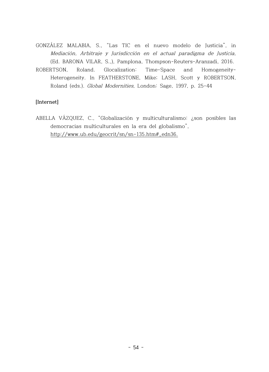GONZÁLEZ MALABIA, S., "Las TIC en el nuevo modelo de Justicia", in Mediación, Arbitraje y Jurisdicción en el actual paradigma de Justicia, (Ed. BARONA VILAR, S.,), Pamplona, Thompson-Reuters-Aranzadi, 2016.

ROBERTSON, Roland. Glocalization: Time-Space and Homogeneity-Heterogeneity. In FEATHERSTONE, Mike; LASH, Scott y ROBERTSON, Roland (eds.). Global Modernities, London: Sage, 1997, p. 25-44

#### **[Internet]**

ABELLA VÁZQUEZ, C., "Globalización y multiculturalismo: ¿son posibles las democracias multiculturales en la era del globalismo", http://www.ub.edu/geocrit/sn/sn-135.htm#\_edn36.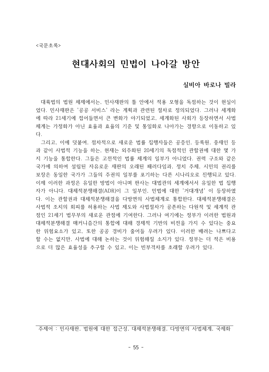# **현대사회의 민법이 나아갈 방안**

#### **실비아 바로나 빌라**

대륙법의 법원 체제에서는, 민사재판의 틀 안에서 적용 모형을 독점하는 것이 현실이 었다. 민사재판은 '공공 서비스' 라는 계획과 관련된 절차로 정의되었다. 그러나 세계화 에 따라 21세기에 접어들면서 큰 변화가 야기되었고, 세계화된 사회가 등장하면서 사법 체계는 가정화가 아닌 효율과 효율의 기준 및 통일화로 나아가는 경향으로 이동하고 있 다.

그리고, 이에 덧붙여, 점차적으로 새로운 법률 집행자들은 공증인, 등록원, 중재인 등 과 같이 사법적 기능을 하는, 현재는 외주화된 20세기의 독점적인 관할권에 대한 몇 가 지 기능을 통합한다. 그들은 고전적인 법률 체계의 일부가 아니었다. 권력 구조와 같은 국가에 의하여 설립된 자유로운 재판의 오래된 패러다임과, 정치 주체, 시민의 권리를 보장은 동일한 국가가 그들의 주권의 일부를 포기하는 다른 시나리오로 진행되고 있다. 이제 이러한 과정은 유일한 방법이 아니며 판사는 대법관의 세계에서서 유일한 법 집행 자가 아니다. 대체적분쟁해결(ADR)이 그 일부인, 민법에 대한 '거대개념' 이 등장하였 다. 이는 관할권과 대체적분쟁해결을 다방면의 사법체계로 통합한다. 대체적분쟁해결은 사법적 조치의 회피를 허용하는 사법 제도와 사법절차가 공존하는 다원적 및 세계적 관 점인 21세기 법무부의 새로운 관점에 기여한다. 그러나 여기에는 정부가 이러한 법원과 대체적분쟁해결 매커니즘간의 통합에 대해 경제적 기반의 비전을 가지 수 있다는 중요 한 위험요소가 있고, 또한 공공 경비가 줄어들 우려가 있다. 이러한 배려는 나쁘다고 할 수는 없지만, 사법에 대해 논하는 것이 위험해질 소지가 있다. 정부는 더 적은 비용 으로 더 많은 효율성을 추구할 수 있고, 이는 빈부격차를 초래할 우려가 있다.

주제어 : 민사재판, 법원에 대한 접근성, 대체적분쟁해결, 다방면의 사법체계, 국제화